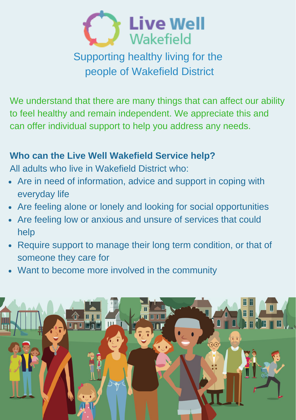

## Supporting healthy living for the people of Wakefield District

We understand that there are many things that can affect our ability to feel healthy and remain independent. We appreciate this and can offer individual support to help you address any needs.

## **Who can the Live Well Wakefield Service help?**

All adults who live in Wakefield District who:

- Are in need of information, advice and support in coping with everyday life
- Are feeling alone or lonely and looking for social opportunities
- Are feeling low or anxious and unsure of services that could help
- Require support to manage their long term condition, or that of someone they care for
- Want to become more involved in the community